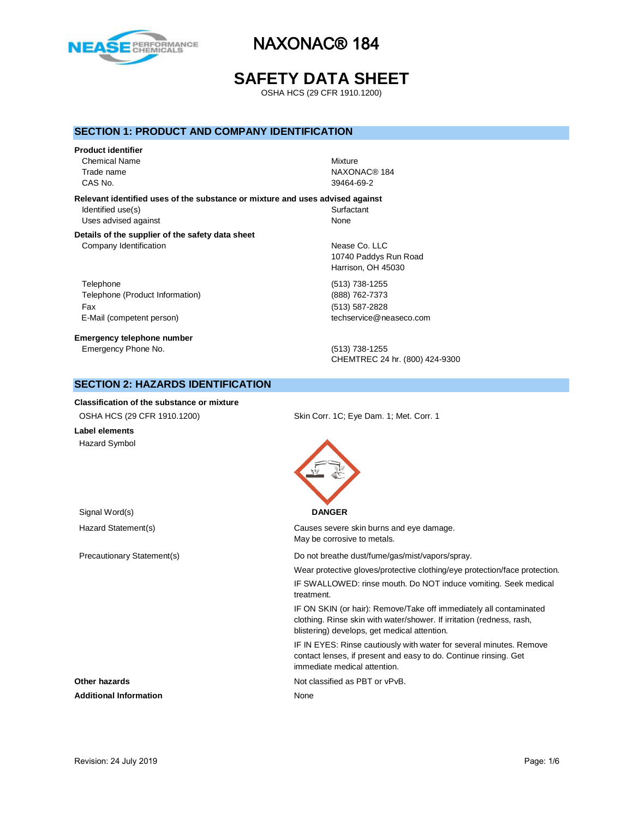

# **SAFETY DATA SHEET**

OSHA HCS (29 CFR 1910.1200)

### **SECTION 1: PRODUCT AND COMPANY IDENTIFICATION**

# **Product identifier** Chemical Name Mixture Trade name NAXONAC® 184

CAS No. 39464-69-2

### **Relevant identified uses of the substance or mixture and uses advised against**

Identified use(s) Surfactant Uses advised against None

#### **Details of the supplier of the safety data sheet** Company Identification **Nease Co.** LLC

Telephone (513) 738-1255 Telephone (Product Information) (888) 762-7373 Fax (513) 587-2828 E-Mail (competent person) example a second techservice@neaseco.com

**Emergency telephone number** Emergency Phone No. (513) 738-1255

10740 Paddys Run Road Harrison, OH 45030

CHEMTREC 24 hr. (800) 424-9300

# **SECTION 2: HAZARDS IDENTIFICATION**

#### **Classification of the substance or mixture**

| OSHA HCS (29 CFR 1910.1200) | Skin Corr. 1C; Eye Dam. 1; Met. Corr. 1                                       |  |  |
|-----------------------------|-------------------------------------------------------------------------------|--|--|
| Label elements              |                                                                               |  |  |
| Hazard Symbol               |                                                                               |  |  |
| Signal Word(s)              | <b>DANGER</b>                                                                 |  |  |
| Hazard Statement(s)         | Causes severe skin burns and eye damage.                                      |  |  |
|                             | May be corrosive to metals.                                                   |  |  |
| Precautionary Statement(s)  | Do not breathe dust/fume/gas/mist/vapors/spray.                               |  |  |
|                             | Wear protective gloves/protective clothing/eye protection/face protection.    |  |  |
|                             | IF SWALLOWED: rinse mouth. Do NOT induce vomiting. Seek medical<br>treatment. |  |  |
|                             | IF ON SKIN (or hair): Remove/Take off immediately all contaminated            |  |  |

taminated clothing. Rinse skin with water/shower. If irritation (redness, rash, blistering) develops, get medical attention.

IF IN EYES: Rinse cautiously with water for several minutes. Remove contact lenses, if present and easy to do. Continue rinsing. Get immediate medical attention.

**Other hazards Other hazards Not classified as PBT or vPvB.** 

**Additional Information** None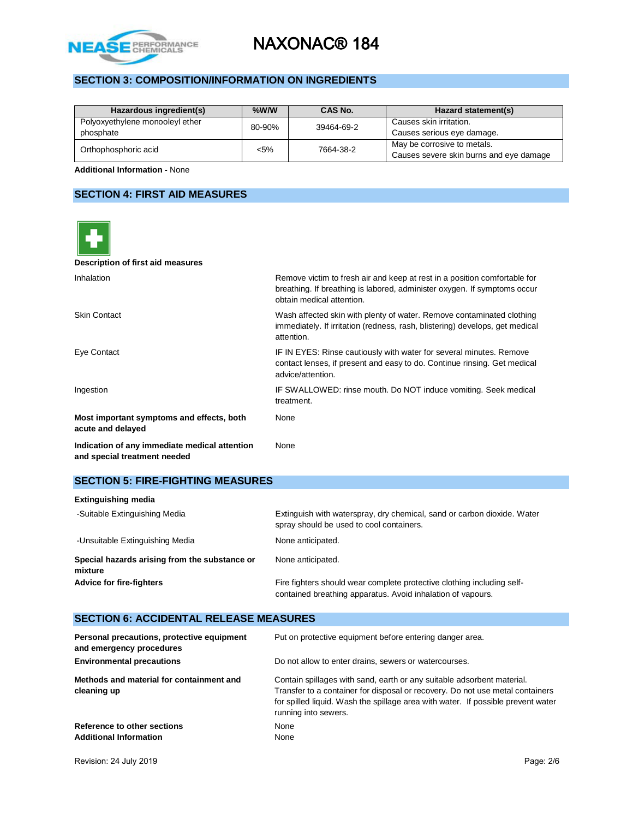

# **SECTION 3: COMPOSITION/INFORMATION ON INGREDIENTS**

| Hazardous ingredient(s)                      | $%$ W/W | CAS No.    | Hazard statement(s)                                                    |
|----------------------------------------------|---------|------------|------------------------------------------------------------------------|
| Polyoxyethylene monooleyl ether<br>phosphate | 80-90%  | 39464-69-2 | Causes skin irritation.<br>Causes serious eye damage.                  |
| Orthophosphoric acid                         | $< 5\%$ | 7664-38-2  | May be corrosive to metals.<br>Causes severe skin burns and eye damage |

**Additional Information -** None

# **SECTION 4: FIRST AID MEASURES**

| Description of first aid measures                                             |                                                                                                                                                                                    |
|-------------------------------------------------------------------------------|------------------------------------------------------------------------------------------------------------------------------------------------------------------------------------|
| Inhalation                                                                    | Remove victim to fresh air and keep at rest in a position comfortable for<br>breathing. If breathing is labored, administer oxygen. If symptoms occur<br>obtain medical attention. |
| <b>Skin Contact</b>                                                           | Wash affected skin with plenty of water. Remove contaminated clothing<br>immediately. If irritation (redness, rash, blistering) develops, get medical<br>attention.                |
| Eye Contact                                                                   | IF IN EYES: Rinse cautiously with water for several minutes. Remove<br>contact lenses, if present and easy to do. Continue rinsing. Get medical<br>advice/attention.               |
| Ingestion                                                                     | IF SWALLOWED: rinse mouth. Do NOT induce vomiting. Seek medical<br>treatment.                                                                                                      |
| Most important symptoms and effects, both<br>acute and delayed                | None                                                                                                                                                                               |
| Indication of any immediate medical attention<br>and special treatment needed | None                                                                                                                                                                               |

# **SECTION 5: FIRE-FIGHTING MEASURES**

| <b>Extinguishing media</b>                               |                                                                                                                                       |
|----------------------------------------------------------|---------------------------------------------------------------------------------------------------------------------------------------|
| -Suitable Extinguishing Media                            | Extinguish with waterspray, dry chemical, sand or carbon dioxide. Water<br>spray should be used to cool containers.                   |
| -Unsuitable Extinguishing Media                          | None anticipated.                                                                                                                     |
| Special hazards arising from the substance or<br>mixture | None anticipated.                                                                                                                     |
| <b>Advice for fire-fighters</b>                          | Fire fighters should wear complete protective clothing including self-<br>contained breathing apparatus. Avoid inhalation of vapours. |

## **SECTION 6: ACCIDENTAL RELEASE MEASURES**

| Personal precautions, protective equipment<br>and emergency procedures | Put on protective equipment before entering danger area.                                                                                                                                                                                                            |
|------------------------------------------------------------------------|---------------------------------------------------------------------------------------------------------------------------------------------------------------------------------------------------------------------------------------------------------------------|
| <b>Environmental precautions</b>                                       | Do not allow to enter drains, sewers or watercourses.                                                                                                                                                                                                               |
| Methods and material for containment and<br>cleaning up                | Contain spillages with sand, earth or any suitable adsorbent material.<br>Transfer to a container for disposal or recovery. Do not use metal containers<br>for spilled liquid. Wash the spillage area with water. If possible prevent water<br>running into sewers. |
| Reference to other sections<br><b>Additional Information</b>           | None<br>None                                                                                                                                                                                                                                                        |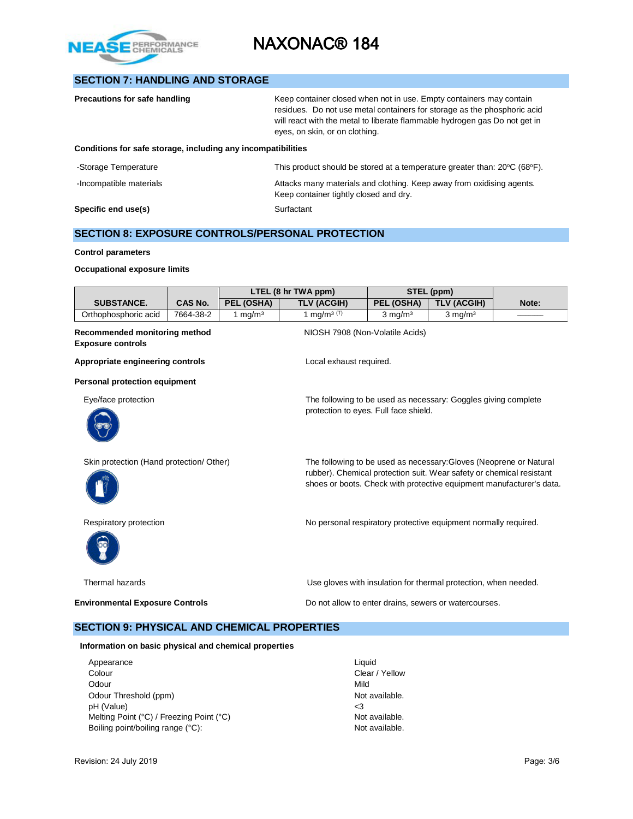

## **SECTION 7: HANDLING AND STORAGE**

| <b>Precautions for safe handling</b>                         | Keep container closed when not in use. Empty containers may contain<br>residues. Do not use metal containers for storage as the phosphoric acid<br>will react with the metal to liberate flammable hydrogen gas Do not get in<br>eyes, on skin, or on clothing. |
|--------------------------------------------------------------|-----------------------------------------------------------------------------------------------------------------------------------------------------------------------------------------------------------------------------------------------------------------|
| Conditions for safe storage, including any incompatibilities |                                                                                                                                                                                                                                                                 |
| -Storage Temperature                                         | This product should be stored at a temperature greater than: $20^{\circ}C$ (68 $^{\circ}F$ ).                                                                                                                                                                   |
| -Incompatible materials                                      | Attacks many materials and clothing. Keep away from oxidising agents.<br>Keep container tightly closed and dry.                                                                                                                                                 |
| Specific end use(s)                                          | Surfactant                                                                                                                                                                                                                                                      |

## **SECTION 8: EXPOSURE CONTROLS/PERSONAL PROTECTION**

#### **Control parameters**

#### **Occupational exposure limits**

|                                                           |                |            | LTEL (8 hr TWA ppm)             |                                       | STEL (ppm)                                                                                                                                                                                                         |       |
|-----------------------------------------------------------|----------------|------------|---------------------------------|---------------------------------------|--------------------------------------------------------------------------------------------------------------------------------------------------------------------------------------------------------------------|-------|
| <b>SUBSTANCE.</b>                                         | <b>CAS No.</b> | PEL (OSHA) | <b>TLV (ACGIH)</b>              | PEL (OSHA)                            | <b>TLV (ACGIH)</b>                                                                                                                                                                                                 | Note: |
| Orthophosphoric acid                                      | 7664-38-2      | 1 mg/m $3$ | 1 mg/m <sup>3 (T)</sup>         | $3$ mg/m <sup>3</sup>                 | $3$ mg/m <sup>3</sup>                                                                                                                                                                                              |       |
| Recommended monitoring method<br><b>Exposure controls</b> |                |            | NIOSH 7908 (Non-Volatile Acids) |                                       |                                                                                                                                                                                                                    |       |
| Appropriate engineering controls                          |                |            | Local exhaust required.         |                                       |                                                                                                                                                                                                                    |       |
| Personal protection equipment                             |                |            |                                 |                                       |                                                                                                                                                                                                                    |       |
| Eye/face protection                                       |                |            |                                 | protection to eyes. Full face shield. | The following to be used as necessary: Goggles giving complete                                                                                                                                                     |       |
| Skin protection (Hand protection/ Other)                  |                |            |                                 |                                       | The following to be used as necessary: Gloves (Neoprene or Natural<br>rubber). Chemical protection suit. Wear safety or chemical resistant<br>shoes or boots. Check with protective equipment manufacturer's data. |       |
| Respiratory protection                                    |                |            |                                 |                                       | No personal respiratory protective equipment normally required.                                                                                                                                                    |       |
| Thermal hazards                                           |                |            |                                 |                                       | Use gloves with insulation for thermal protection, when needed.                                                                                                                                                    |       |
| <b>Environmental Exposure Controls</b>                    |                |            |                                 |                                       | Do not allow to enter drains, sewers or watercourses.                                                                                                                                                              |       |

### **SECTION 9: PHYSICAL AND CHEMICAL PROPERTIES**

#### **Information on basic physical and chemical properties**

| Appearance                               | Liquid        |
|------------------------------------------|---------------|
| Colour                                   | Clear $\land$ |
| Odour                                    | Mild          |
| Odour Threshold (ppm)                    | Not av        |
| pH (Value)                               | <3            |
| Melting Point (°C) / Freezing Point (°C) | Not av        |
| Boiling point/boiling range (°C):        | Not av        |

Clear / Yellow<br>Mild Not available. Not available. Not available.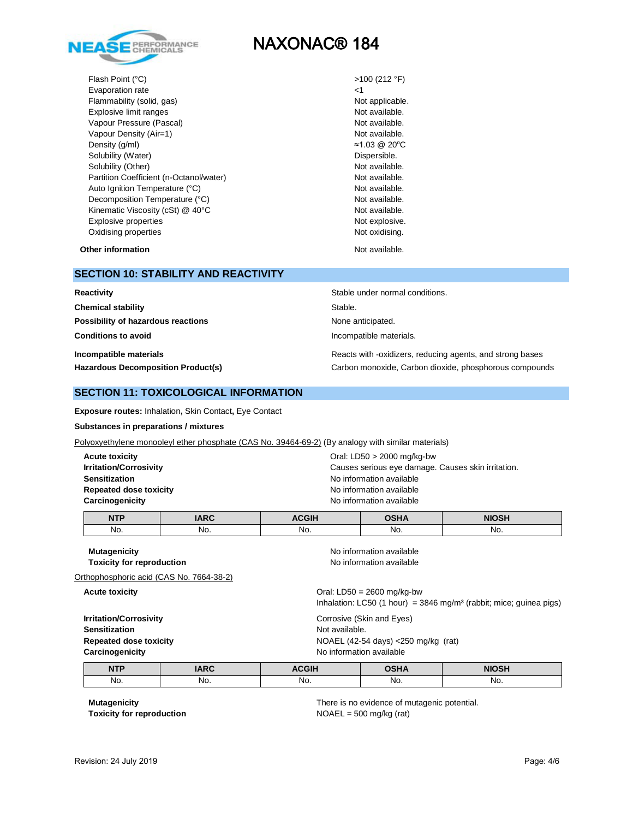

Flash Point (°C) >100 (212 °F) Evaporation rate <1 Flammability (solid, gas) Not applicable. Explosive limit ranges Not available. Vapour Pressure (Pascal) Not available. Vapour Density (Air=1) Not available. Density (g/ml)  $\approx$ 1.03 @ 20°C Solubility (Water) **Dispersible. Dispersible. Dispersible.** Solubility (Other) Not available. Partition Coefficient (n-Octanol/water) Not available. Auto Ignition Temperature (°C) and the set of the Mot available. Decomposition Temperature (°C) Not available. Kinematic Viscosity (cSt) @ 40°C Not available. Explosive properties Not explosive. Oxidising properties Not oxidising.

**Other information** Not available.

#### **SECTION 10: STABILITY AND REACTIVITY**

| Reactivity                                | Stable under normal conditions.                           |
|-------------------------------------------|-----------------------------------------------------------|
| <b>Chemical stability</b>                 | Stable.                                                   |
| Possibility of hazardous reactions        | None anticipated.                                         |
| <b>Conditions to avoid</b>                | Incompatible materials.                                   |
| Incompatible materials                    | Reacts with -oxidizers, reducing agents, and strong bases |
| <b>Hazardous Decomposition Product(s)</b> | Carbon monoxide, Carbon dioxide, phosphorous compounds    |

### **SECTION 11: TOXICOLOGICAL INFORMATION**

**Exposure routes:** Inhalation**,** Skin Contact**,** Eye Contact

#### **Substances in preparations / mixtures**

Polyoxyethylene monooleyl ether phosphate (CAS No. 39464-69-2) (By analogy with similar materials)

| <b>Acute toxicity</b><br><b>Irritation/Corrosivity</b><br><b>Sensitization</b><br><b>Repeated dose toxicity</b><br>Carcinogenicity |             | Oral: $LD50 > 2000$ mg/kg-bw<br>Causes serious eye damage. Causes skin irritation.<br>No information available<br>No information available<br>No information available |                                                      |              |  |
|------------------------------------------------------------------------------------------------------------------------------------|-------------|------------------------------------------------------------------------------------------------------------------------------------------------------------------------|------------------------------------------------------|--------------|--|
| <b>NTP</b>                                                                                                                         | <b>IARC</b> | <b>ACGIH</b>                                                                                                                                                           | <b>OSHA</b>                                          | <b>NIOSH</b> |  |
| No.                                                                                                                                | No.         | No.                                                                                                                                                                    | No.                                                  | No.          |  |
| <b>Mutagenicity</b><br><b>Toxicity for reproduction</b><br>Orthophosphoric acid (CAS No. 7664-38-2)                                |             |                                                                                                                                                                        | No information available<br>No information available |              |  |
| <b>Acute toxicity</b>                                                                                                              |             | Oral: $LD50 = 2600$ mg/kg-bw<br>Inhalation: LC50 (1 hour) = $3846$ mg/m <sup>3</sup> (rabbit; mice; guinea pigs)                                                       |                                                      |              |  |
| <b>Irritation/Corrosivity</b><br><b>Sensitization</b><br><b>Repeated dose toxicity</b>                                             |             | Corrosive (Skin and Eyes)<br>Not available.<br>NOAEL (42-54 days) $<$ 250 mg/kg (rat)                                                                                  |                                                      |              |  |

| Sensitization          |  |
|------------------------|--|
| Repeated dose toxicity |  |
| Carcinogenicity        |  |

| <b>NTP</b> | <b>IARC</b> | <b>ACGIH</b> | <b>OSHA</b> | <b>NIOSH</b> |
|------------|-------------|--------------|-------------|--------------|
| No.        | No.         | No.          | No.         | No.          |

**No information available** 

**Toxicity for reproduction** NOAEL = 500 mg/kg (rat)

**Mutagenicity** There is no evidence of mutagenic potential.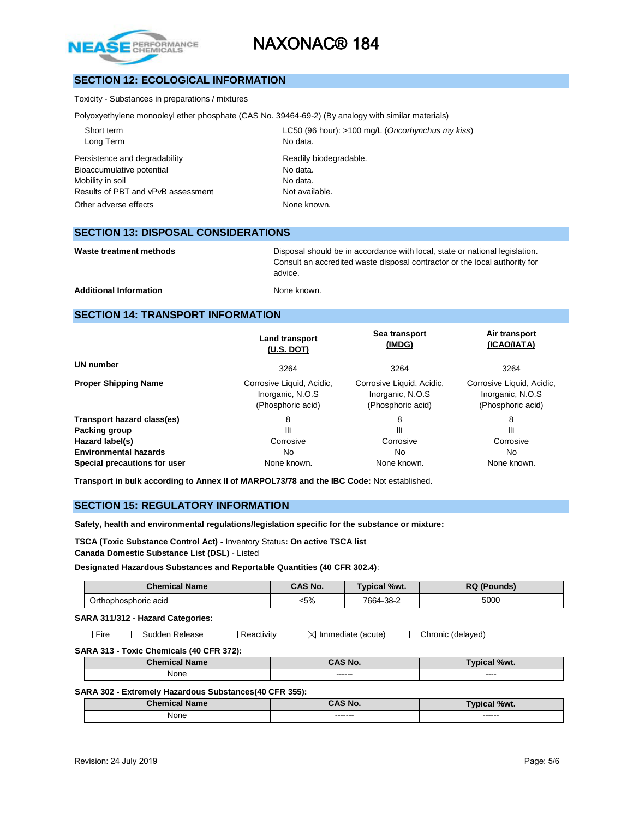

## **SECTION 12: ECOLOGICAL INFORMATION**

Toxicity - Substances in preparations / mixtures

Polyoxyethylene monooleyl ether phosphate (CAS No. 39464-69-2) (By analogy with similar materials)

Long Term No data. Persistence and degradability example and readily biodegradable. Bioaccumulative potential example of the No data. Mobility in soil and the Modata. Results of PBT and vPvB assessment Not available. Other adverse effects None known.

Short term LC50 (96 hour): >100 mg/L (*Oncorhynchus my kiss*)

## **SECTION 13: DISPOSAL CONSIDERATIONS**

Waste treatment methods **Disposal should be in accordance with local**, state or national legislation. Consult an accredited waste disposal contractor or the local authority for advice.

Additional Information **None known** 

## **SECTION 14: TRANSPORT INFORMATION**

|                              | Land transport<br>(U.S. DOT)                                       | Sea transport<br>(IMDG)                                             | Air transport<br>(ICAO/IATA)                                       |
|------------------------------|--------------------------------------------------------------------|---------------------------------------------------------------------|--------------------------------------------------------------------|
| UN number                    | 3264                                                               | 3264                                                                | 3264                                                               |
| <b>Proper Shipping Name</b>  | Corrosive Liquid, Acidic,<br>Inorganic, N.O.S<br>(Phosphoric acid) | Corrosive Liquid, Acidic,<br>Inorganic, N.O.S.<br>(Phosphoric acid) | Corrosive Liquid, Acidic,<br>Inorganic, N.O.S<br>(Phosphoric acid) |
| Transport hazard class(es)   | 8                                                                  | 8                                                                   | 8                                                                  |
| Packing group                | Ш                                                                  | Ш                                                                   | Ш                                                                  |
| Hazard label(s)              | Corrosive                                                          | Corrosive                                                           | Corrosive                                                          |
| <b>Environmental hazards</b> | No.                                                                | No.                                                                 | No.                                                                |
| Special precautions for user | None known.                                                        | None known.                                                         | None known.                                                        |

**Transport in bulk according to Annex II of MARPOL73/78 and the IBC Code:** Not established.

### **SECTION 15: REGULATORY INFORMATION**

**Safety, health and environmental regulations/legislation specific for the substance or mixture:**

**TSCA (Toxic Substance Control Act) -** Inventory Status**: On active TSCA list Canada Domestic Substance List (DSL)** - Listed

**Designated Hazardous Substances and Reportable Quantities (40 CFR 302.4)**:

| <b>Chemical Name</b> | $\hat{}$ AS No. | Typical %wt.       | nл<br>- 76.<br>ounds)<br>אפ |
|----------------------|-----------------|--------------------|-----------------------------|
| Orthophosphoric acid | $.5\%$          | 7664-<br>$-38 - 2$ | 5000                        |

**SARA 311/312 - Hazard Categories:**

Fire  $\Box$  Sudden Release  $\Box$  Reactivity  $\Box$  Immediate (acute)  $\Box$  Chronic (delayed)

**SARA 313 - Toxic Chemicals (40 CFR 372):**

| <b>STATISTICS</b> | NO.                 | %wt.          |
|-------------------|---------------------|---------------|
| None              | -------<br>-------- | ----<br>_____ |

#### **SARA 302 - Extremely Hazardous Substances(40 CFR 355):**

| $•$ homic-<br>Name | AC<br>No.            | %Wt.                |
|--------------------|----------------------|---------------------|
| None               | --------<br>-------- | -------<br>-------- |